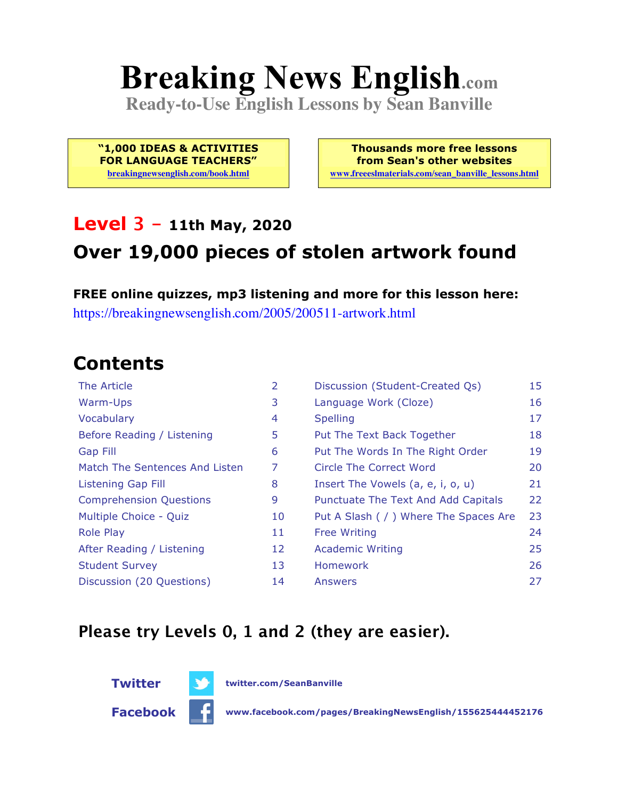# **Breaking News English.com**

**Ready-to-Use English Lessons by Sean Banville**

**"1,000 IDEAS & ACTIVITIES FOR LANGUAGE TEACHERS"**

**breakingnewsenglish.com/book.html**

**Thousands more free lessons from Sean's other websites www.freeeslmaterials.com/sean\_banville\_lessons.html**

#### **Level 3 - 11th May, 2020**

### **Over 19,000 pieces of stolen artwork found**

**FREE online quizzes, mp3 listening and more for this lesson here:** https://breakingnewsenglish.com/2005/200511-artwork.html

#### **Contents**

| The Article                    | 2  | Discussion (Student-Created Qs)        | 15 |
|--------------------------------|----|----------------------------------------|----|
| Warm-Ups                       | 3  | Language Work (Cloze)                  | 16 |
| Vocabulary                     | 4  | <b>Spelling</b>                        | 17 |
| Before Reading / Listening     | 5  | Put The Text Back Together             | 18 |
| <b>Gap Fill</b>                | 6  | Put The Words In The Right Order       | 19 |
| Match The Sentences And Listen | 7  | Circle The Correct Word                | 20 |
| Listening Gap Fill             | 8  | Insert The Vowels (a, e, i, o, u)      | 21 |
| <b>Comprehension Questions</b> | 9  | Punctuate The Text And Add Capitals    | 22 |
| Multiple Choice - Quiz         | 10 | Put A Slash ( / ) Where The Spaces Are | 23 |
| <b>Role Play</b>               | 11 | <b>Free Writing</b>                    | 24 |
| After Reading / Listening      | 12 | <b>Academic Writing</b>                | 25 |
| <b>Student Survey</b>          | 13 | Homework                               | 26 |
| Discussion (20 Questions)      | 14 | Answers                                | 27 |

#### **Please try Levels 0, 1 and 2 (they are easier).**



**Facebook www.facebook.com/pages/BreakingNewsEnglish/155625444452176**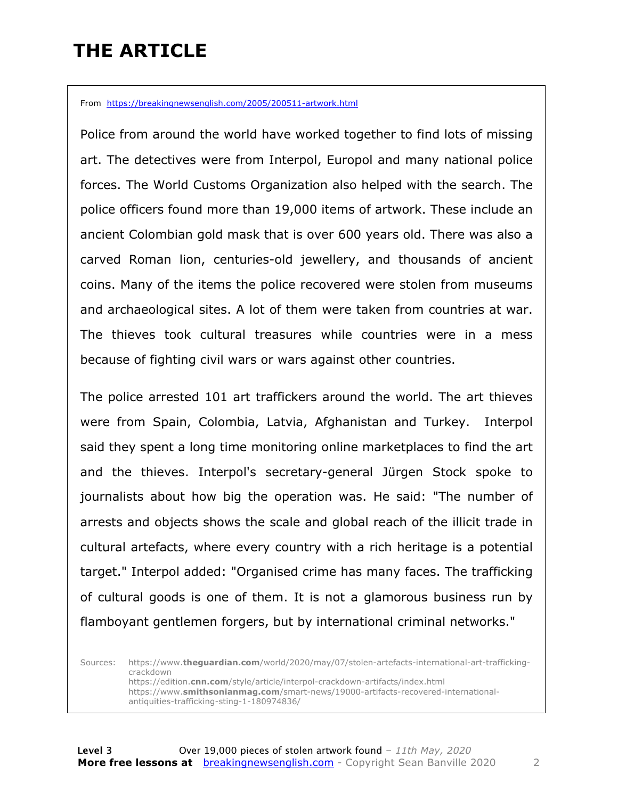### **THE ARTICLE**

From https://breakingnewsenglish.com/2005/200511-artwork.html

Police from around the world have worked together to find lots of missing art. The detectives were from Interpol, Europol and many national police forces. The World Customs Organization also helped with the search. The police officers found more than 19,000 items of artwork. These include an ancient Colombian gold mask that is over 600 years old. There was also a carved Roman lion, centuries-old jewellery, and thousands of ancient coins. Many of the items the police recovered were stolen from museums and archaeological sites. A lot of them were taken from countries at war. The thieves took cultural treasures while countries were in a mess because of fighting civil wars or wars against other countries.

The police arrested 101 art traffickers around the world. The art thieves were from Spain, Colombia, Latvia, Afghanistan and Turkey. Interpol said they spent a long time monitoring online marketplaces to find the art and the thieves. Interpol's secretary-general Jürgen Stock spoke to journalists about how big the operation was. He said: "The number of arrests and objects shows the scale and global reach of the illicit trade in cultural artefacts, where every country with a rich heritage is a potential target." Interpol added: "Organised crime has many faces. The trafficking of cultural goods is one of them. It is not a glamorous business run by flamboyant gentlemen forgers, but by international criminal networks."

Sources: https://www.**theguardian.com**/world/2020/may/07/stolen-artefacts-international-art-traffickingcrackdown https://edition.**cnn.com**/style/article/interpol-crackdown-artifacts/index.html https://www.**smithsonianmag.com**/smart-news/19000-artifacts-recovered-internationalantiquities-trafficking-sting-1-180974836/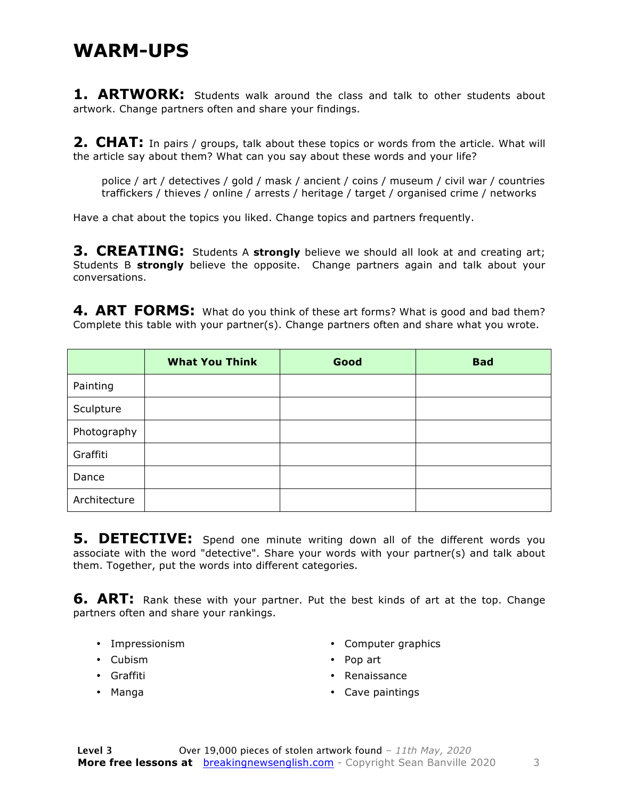#### **WARM-UPS**

**1. ARTWORK:** Students walk around the class and talk to other students about artwork. Change partners often and share your findings.

**2. CHAT:** In pairs / groups, talk about these topics or words from the article. What will the article say about them? What can you say about these words and your life?

police / art / detectives / gold / mask / ancient / coins / museum / civil war / countries traffickers / thieves / online / arrests / heritage / target / organised crime / networks

Have a chat about the topics you liked. Change topics and partners frequently.

**3. CREATING:** Students A **strongly** believe we should all look at and creating art; Students B **strongly** believe the opposite. Change partners again and talk about your conversations.

4. ART FORMS: What do you think of these art forms? What is good and bad them? Complete this table with your partner(s). Change partners often and share what you wrote.

|              | <b>What You Think</b> | Good | <b>Bad</b> |
|--------------|-----------------------|------|------------|
| Painting     |                       |      |            |
| Sculpture    |                       |      |            |
| Photography  |                       |      |            |
| Graffiti     |                       |      |            |
| Dance        |                       |      |            |
| Architecture |                       |      |            |

**5. DETECTIVE:** Spend one minute writing down all of the different words you associate with the word "detective". Share your words with your partner(s) and talk about them. Together, put the words into different categories.

**6. ART:** Rank these with your partner. Put the best kinds of art at the top. Change partners often and share your rankings.

- Impressionism
- Cubism
- Graffiti
- Manga
- Computer graphics
- Pop art
- Renaissance
- Cave paintings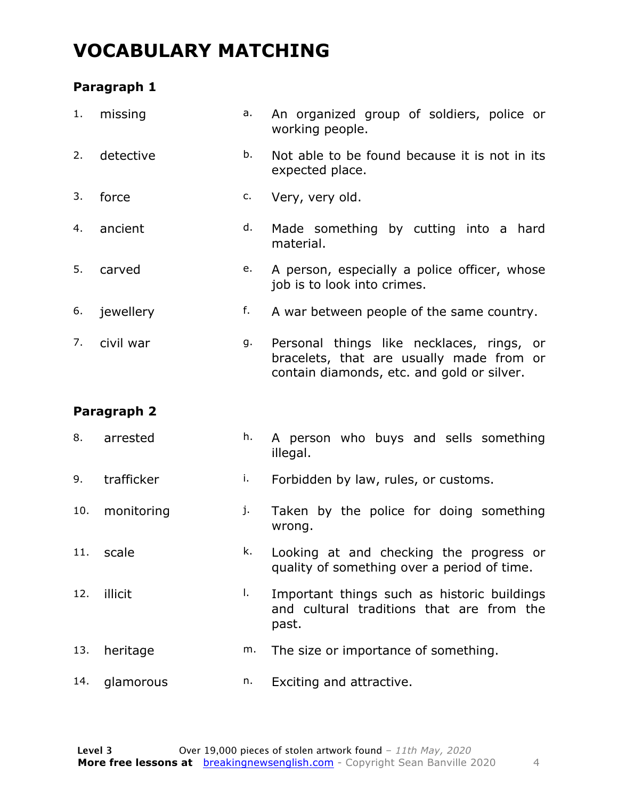#### **VOCABULARY MATCHING**

#### **Paragraph 1**

| 1.  | missing     | a. | An organized group of soldiers, police or<br>working people.                                                                        |  |
|-----|-------------|----|-------------------------------------------------------------------------------------------------------------------------------------|--|
| 2.  | detective   | b. | Not able to be found because it is not in its<br>expected place.                                                                    |  |
| 3.  | force       | c. | Very, very old.                                                                                                                     |  |
| 4.  | ancient     | d. | Made something by cutting into a hard<br>material.                                                                                  |  |
| 5.  | carved      | e. | A person, especially a police officer, whose<br>job is to look into crimes.                                                         |  |
| 6.  | jewellery   | f. | A war between people of the same country.                                                                                           |  |
| 7.  | civil war   | g. | Personal things like necklaces, rings, or<br>bracelets, that are usually made from or<br>contain diamonds, etc. and gold or silver. |  |
|     |             |    |                                                                                                                                     |  |
|     | Paragraph 2 |    |                                                                                                                                     |  |
| 8.  | arrested    | h. | A person who buys and sells something<br>illegal.                                                                                   |  |
| 9.  | trafficker  | i. | Forbidden by law, rules, or customs.                                                                                                |  |
| 10. | monitoring  | j. | Taken by the police for doing something<br>wrong.                                                                                   |  |
|     | 11. scale   | k. | Looking at and checking the progress or<br>quality of something over a period of time.                                              |  |
| 12. | illicit     | I. | Important things such as historic buildings<br>and cultural traditions that are from the<br>past.                                   |  |
| 13. | heritage    | m. | The size or importance of something.                                                                                                |  |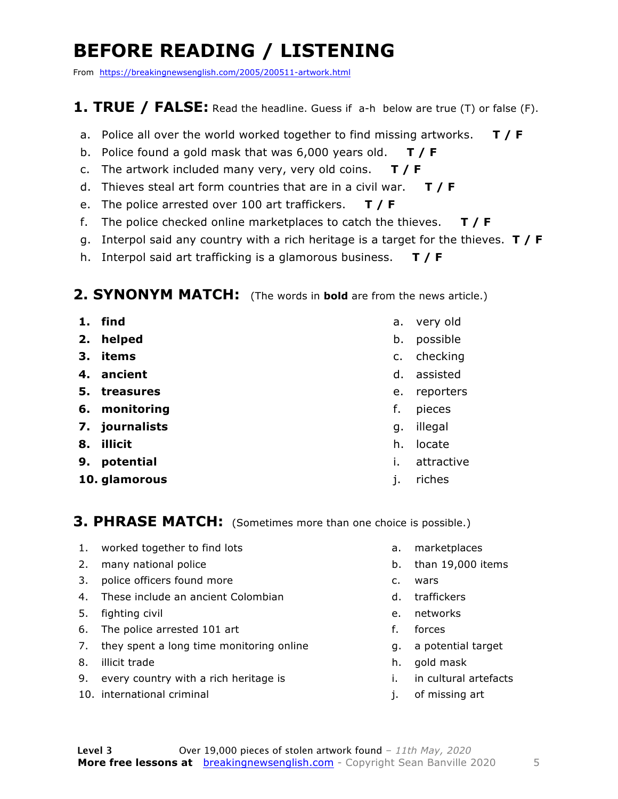### **BEFORE READING / LISTENING**

From https://breakingnewsenglish.com/2005/200511-artwork.html

#### **1. TRUE / FALSE:** Read the headline. Guess if a-h below are true (T) or false (F).

- a. Police all over the world worked together to find missing artworks. **T / F**
- b. Police found a gold mask that was 6,000 years old. **T / F**
- c. The artwork included many very, very old coins. **T / F**
- d. Thieves steal art form countries that are in a civil war. **T / F**
- e. The police arrested over 100 art traffickers. **T / F**
- f. The police checked online marketplaces to catch the thieves. **T / F**
- g. Interpol said any country with a rich heritage is a target for the thieves. **T / F**
- h. Interpol said art trafficking is a glamorous business. **T / F**

#### **2. SYNONYM MATCH:** (The words in **bold** are from the news article.)

- **1. find**
- **2. helped**
- **3. items**
- **4. ancient**
- **5. treasures**
- **6. monitoring**
- **7. journalists**
- **8. illicit**
- **9. potential**
- **10. glamorous**
- a. very old
- b. possible
- c. checking
- d. assisted
- e. reporters
- f. pieces
- g. illegal
- h. locate
- i. attractive
- j. riches

#### **3. PHRASE MATCH:** (Sometimes more than one choice is possible.)

- 1. worked together to find lots
- 2. many national police
- 3. police officers found more
- 4. These include an ancient Colombian
- 5. fighting civil
- 6. The police arrested 101 art
- 7. they spent a long time monitoring online
- 8. illicit trade
- 9. every country with a rich heritage is
- 10. international criminal
- a. marketplaces
- b. than 19,000 items
- c. wars
- d. traffickers
- e. networks
- f. forces
- g. a potential target
- h. gold mask
- i. in cultural artefacts
- j. of missing art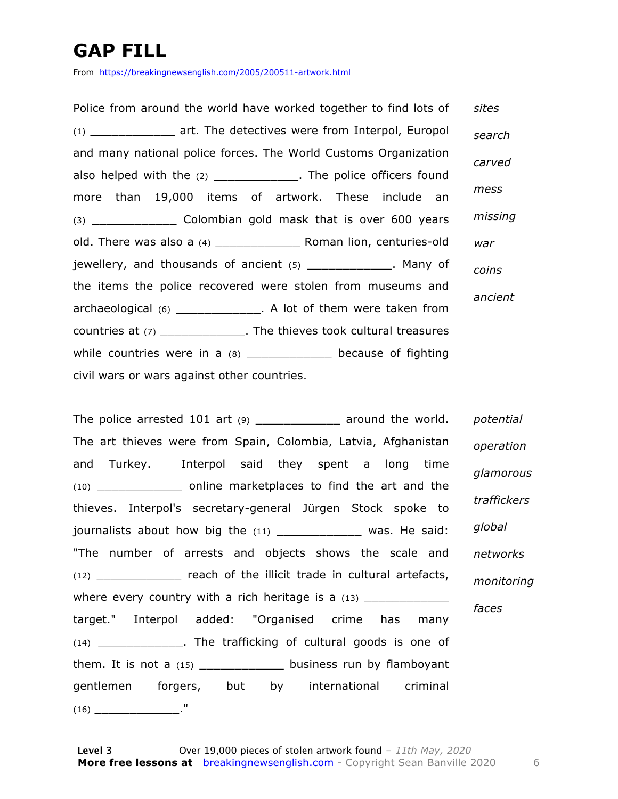### **GAP FILL**

From https://breakingnewsenglish.com/2005/200511-artwork.html

Police from around the world have worked together to find lots of (1) \_\_\_\_\_\_\_\_\_\_\_\_ art. The detectives were from Interpol, Europol and many national police forces. The World Customs Organization also helped with the (2) \_\_\_\_\_\_\_\_\_\_\_\_\_. The police officers found more than 19,000 items of artwork. These include an (3) \_\_\_\_\_\_\_\_\_\_\_\_ Colombian gold mask that is over 600 years old. There was also a (4) \_\_\_\_\_\_\_\_\_\_\_\_ Roman lion, centuries-old jewellery, and thousands of ancient (5) \_\_\_\_\_\_\_\_\_\_\_\_\_. Many of the items the police recovered were stolen from museums and archaeological (6) \_\_\_\_\_\_\_\_\_\_\_\_. A lot of them were taken from countries at (7) \_\_\_\_\_\_\_\_\_\_\_\_. The thieves took cultural treasures while countries were in a (8) because of fighting civil wars or wars against other countries. *sites search carved mess missing war coins ancient*

The police arrested 101 art (9) \_\_\_\_\_\_\_\_\_\_\_\_\_\_ around the world. The art thieves were from Spain, Colombia, Latvia, Afghanistan and Turkey. Interpol said they spent a long time (10) \_\_\_\_\_\_\_\_\_\_\_\_ online marketplaces to find the art and the thieves. Interpol's secretary-general Jürgen Stock spoke to journalists about how big the  $(11)$  \_\_\_\_\_\_\_\_\_\_\_\_\_ was. He said: "The number of arrests and objects shows the scale and (12) \_\_\_\_\_\_\_\_\_\_\_\_ reach of the illicit trade in cultural artefacts, where every country with a rich heritage is a  $(13)$ target." Interpol added: "Organised crime has many (14) \_\_\_\_\_\_\_\_\_\_\_\_. The trafficking of cultural goods is one of them. It is not a (15) \_\_\_\_\_\_\_\_\_\_\_\_\_\_\_ business run by flamboyant gentlemen forgers, but by international criminal  $(16)$   $\qquad \qquad$   $\qquad \qquad$   $\qquad \qquad$   $\qquad \qquad$   $\qquad \qquad$   $\qquad \qquad$   $\qquad \qquad$   $\qquad \qquad$   $\qquad \qquad$   $\qquad \qquad$   $\qquad \qquad$   $\qquad$   $\qquad \qquad$   $\qquad$   $\qquad$   $\qquad$   $\qquad$   $\qquad$   $\qquad$   $\qquad$   $\qquad$   $\qquad$   $\qquad$   $\qquad$   $\qquad$   $\qquad$   $\qquad$   $\qquad$   $\qquad$   $\qquad$ *potential operation glamorous traffickers global networks monitoring faces*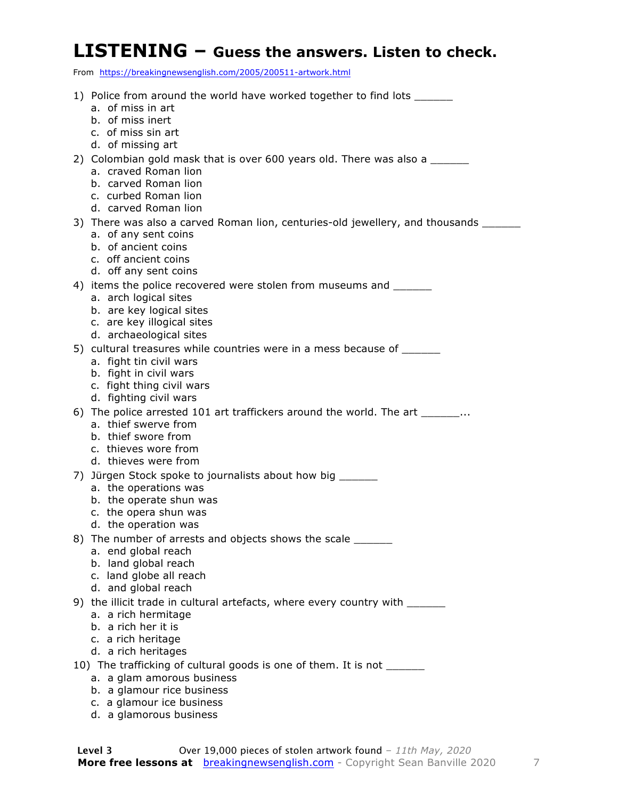#### **LISTENING – Guess the answers. Listen to check.**

From https://breakingnewsenglish.com/2005/200511-artwork.html

1) Police from around the world have worked together to find lots a. of miss in art b. of miss inert c. of miss sin art d. of missing art 2) Colombian gold mask that is over 600 years old. There was also a a. craved Roman lion b. carved Roman lion c. curbed Roman lion d. carved Roman lion 3) There was also a carved Roman lion, centuries-old jewellery, and thousands \_\_\_\_\_\_\_ a. of any sent coins b. of ancient coins c. off ancient coins d. off any sent coins 4) items the police recovered were stolen from museums and \_\_\_\_\_\_ a. arch logical sites b. are key logical sites c. are key illogical sites d. archaeological sites 5) cultural treasures while countries were in a mess because of \_\_\_\_\_\_ a. fight tin civil wars b. fight in civil wars c. fight thing civil wars d. fighting civil wars 6) The police arrested 101 art traffickers around the world. The art  $\ldots$  a. thief swerve from b. thief swore from c. thieves wore from d. thieves were from 7) Jürgen Stock spoke to journalists about how big \_\_\_\_\_\_ a. the operations was b. the operate shun was c. the opera shun was d. the operation was 8) The number of arrests and objects shows the scale a. end global reach b. land global reach c. land globe all reach d. and global reach 9) the illicit trade in cultural artefacts, where every country with \_\_\_\_\_\_ a. a rich hermitage b. a rich her it is c. a rich heritage d. a rich heritages 10) The trafficking of cultural goods is one of them. It is not \_\_\_\_\_ a. a glam amorous business b. a glamour rice business c. a glamour ice business d. a glamorous business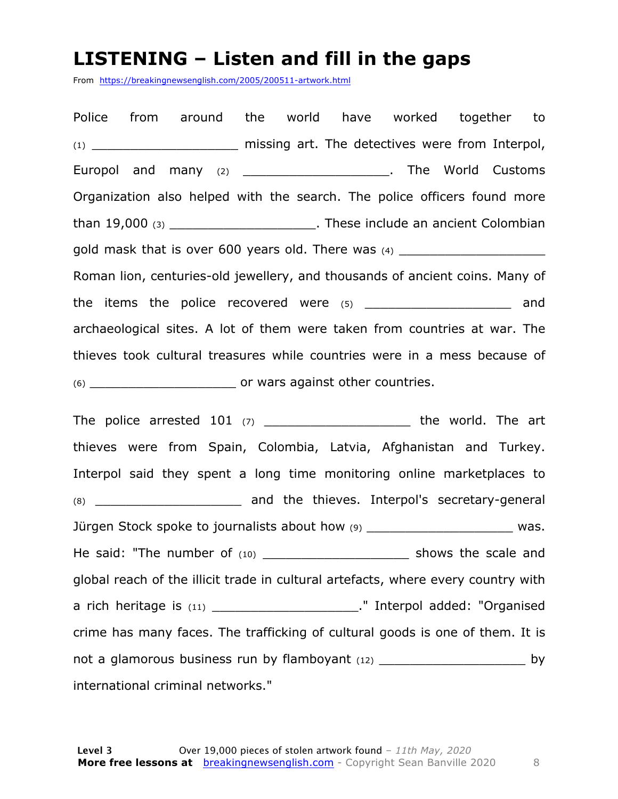#### **LISTENING – Listen and fill in the gaps**

From https://breakingnewsenglish.com/2005/200511-artwork.html

Police from around the world have worked together to (1) \_\_\_\_\_\_\_\_\_\_\_\_\_\_\_\_\_\_\_ missing art. The detectives were from Interpol, Europol and many (2) \_\_\_\_\_\_\_\_\_\_\_\_\_\_\_\_\_\_\_\_\_\_\_\_. The World Customs Organization also helped with the search. The police officers found more than 19,000 (3) \_\_\_\_\_\_\_\_\_\_\_\_\_\_\_\_\_\_\_\_\_\_\_\_. These include an ancient Colombian gold mask that is over 600 years old. There was  $(4)$ Roman lion, centuries-old jewellery, and thousands of ancient coins. Many of the items the police recovered were (5) \_\_\_\_\_\_\_\_\_\_\_\_\_\_\_\_\_\_\_\_\_ and archaeological sites. A lot of them were taken from countries at war. The thieves took cultural treasures while countries were in a mess because of (6) \_\_\_\_\_\_\_\_\_\_\_\_\_\_\_\_\_\_\_ or wars against other countries.

The police arrested  $101$  (7) \_\_\_\_\_\_\_\_\_\_\_\_\_\_\_\_\_\_\_\_\_\_\_\_ the world. The art thieves were from Spain, Colombia, Latvia, Afghanistan and Turkey. Interpol said they spent a long time monitoring online marketplaces to (8) \_\_\_\_\_\_\_\_\_\_\_\_\_\_\_\_\_\_\_ and the thieves. Interpol's secretary-general Jürgen Stock spoke to journalists about how (9) \_\_\_\_\_\_\_\_\_\_\_\_\_\_\_\_\_\_\_\_\_\_\_\_\_ was. He said: "The number of (10) \_\_\_\_\_\_\_\_\_\_\_\_\_\_\_\_\_\_\_\_\_\_\_\_ shows the scale and global reach of the illicit trade in cultural artefacts, where every country with a rich heritage is (11) \_\_\_\_\_\_\_\_\_\_\_\_\_\_\_\_\_\_\_." Interpol added: "Organised crime has many faces. The trafficking of cultural goods is one of them. It is not a glamorous business run by flamboyant  $(12)$  \_\_\_\_\_\_\_\_\_\_\_\_\_\_\_\_\_\_\_\_\_\_\_\_\_\_\_\_\_\_\_ by international criminal networks."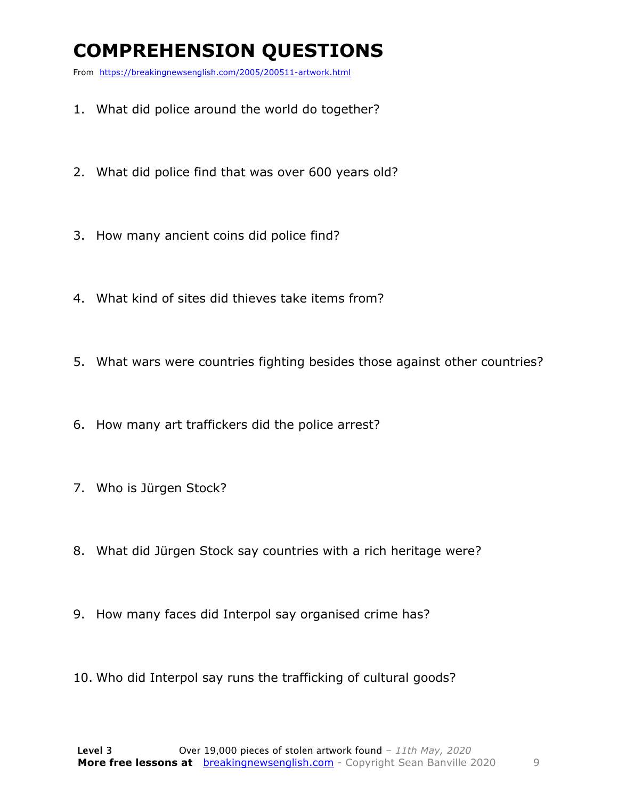### **COMPREHENSION QUESTIONS**

From https://breakingnewsenglish.com/2005/200511-artwork.html

- 1. What did police around the world do together?
- 2. What did police find that was over 600 years old?
- 3. How many ancient coins did police find?
- 4. What kind of sites did thieves take items from?
- 5. What wars were countries fighting besides those against other countries?
- 6. How many art traffickers did the police arrest?
- 7. Who is Jürgen Stock?
- 8. What did Jürgen Stock say countries with a rich heritage were?
- 9. How many faces did Interpol say organised crime has?
- 10. Who did Interpol say runs the trafficking of cultural goods?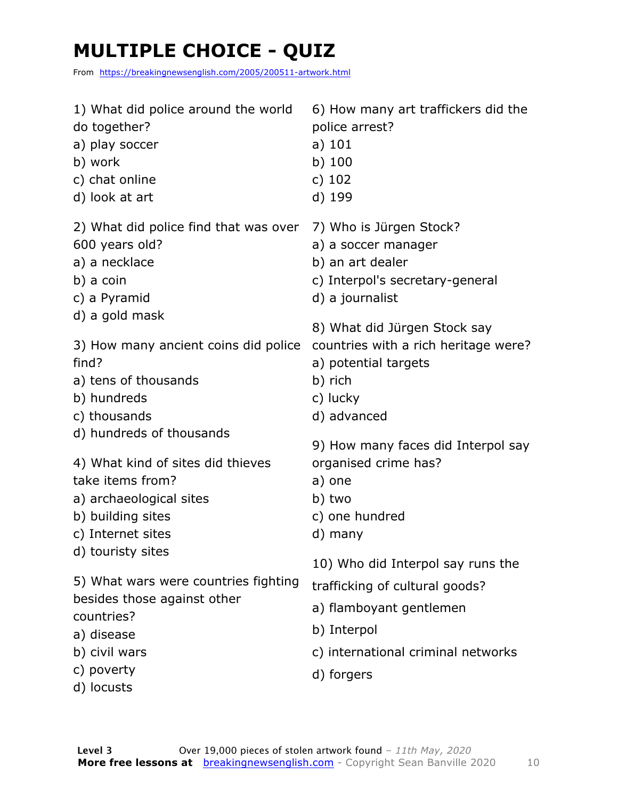### **MULTIPLE CHOICE - QUIZ**

From https://breakingnewsenglish.com/2005/200511-artwork.html

| 1) What did police around the world<br>do together?<br>a) play soccer<br>b) work<br>c) chat online<br>d) look at art                  | 6) How many art traffickers did the<br>police arrest?<br>$a)$ 101<br>$b)$ 100<br>c) $102$<br>d) 199                                                 |
|---------------------------------------------------------------------------------------------------------------------------------------|-----------------------------------------------------------------------------------------------------------------------------------------------------|
| 2) What did police find that was over<br>600 years old?<br>a) a necklace<br>b) a coin<br>c) a Pyramid<br>d) a gold mask               | 7) Who is Jürgen Stock?<br>a) a soccer manager<br>b) an art dealer<br>c) Interpol's secretary-general<br>d) a journalist                            |
| 3) How many ancient coins did police<br>find?<br>a) tens of thousands<br>b) hundreds<br>c) thousands                                  | 8) What did Jürgen Stock say<br>countries with a rich heritage were?<br>a) potential targets<br>b) rich<br>c) lucky<br>d) advanced                  |
| d) hundreds of thousands<br>4) What kind of sites did thieves<br>take items from?                                                     | 9) How many faces did Interpol say<br>organised crime has?<br>a) one                                                                                |
| a) archaeological sites<br>b) building sites<br>c) Internet sites                                                                     | b) two<br>c) one hundred<br>d) many                                                                                                                 |
| d) touristy sites<br>5) What wars were countries fighting<br>besides those against other<br>countries?<br>a) disease<br>b) civil wars | 10) Who did Interpol say runs the<br>trafficking of cultural goods?<br>a) flamboyant gentlemen<br>b) Interpol<br>c) international criminal networks |
| c) poverty<br>d) locusts                                                                                                              | d) forgers                                                                                                                                          |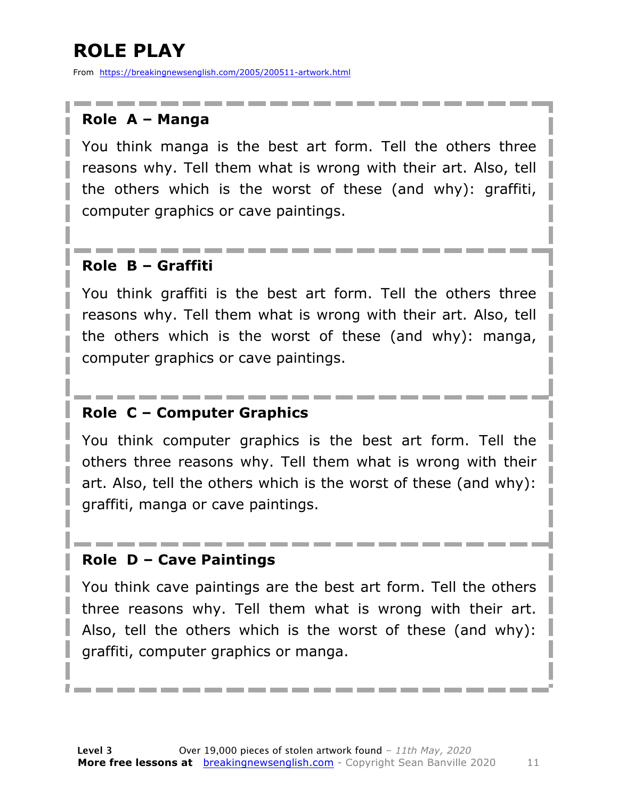### **ROLE PLAY**

From https://breakingnewsenglish.com/2005/200511-artwork.html

#### **Role A – Manga**

You think manga is the best art form. Tell the others three reasons why. Tell them what is wrong with their art. Also, tell the others which is the worst of these (and why): graffiti, computer graphics or cave paintings.

#### **Role B – Graffiti**

You think graffiti is the best art form. Tell the others three reasons why. Tell them what is wrong with their art. Also, tell the others which is the worst of these (and why): manga, computer graphics or cave paintings.

#### **Role C – Computer Graphics**

You think computer graphics is the best art form. Tell the others three reasons why. Tell them what is wrong with their art. Also, tell the others which is the worst of these (and why): graffiti, manga or cave paintings.

#### **Role D – Cave Paintings**

You think cave paintings are the best art form. Tell the others three reasons why. Tell them what is wrong with their art. Also, tell the others which is the worst of these (and why): graffiti, computer graphics or manga.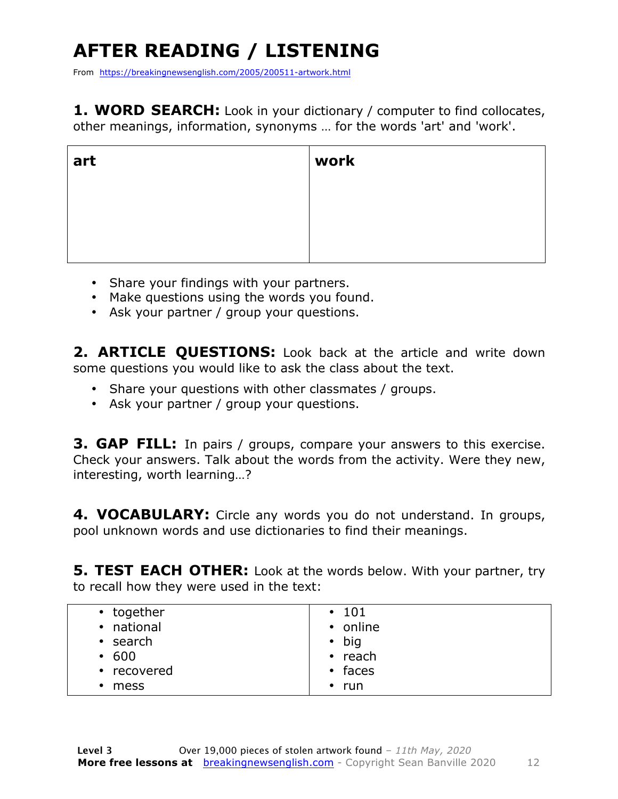## **AFTER READING / LISTENING**

From https://breakingnewsenglish.com/2005/200511-artwork.html

**1. WORD SEARCH:** Look in your dictionary / computer to find collocates, other meanings, information, synonyms … for the words 'art' and 'work'.

| art | work |
|-----|------|
|     |      |
|     |      |
|     |      |

- Share your findings with your partners.
- Make questions using the words you found.
- Ask your partner / group your questions.

2. **ARTICLE OUESTIONS:** Look back at the article and write down some questions you would like to ask the class about the text.

- Share your questions with other classmates / groups.
- Ask your partner / group your questions.

**3. GAP FILL:** In pairs / groups, compare your answers to this exercise. Check your answers. Talk about the words from the activity. Were they new, interesting, worth learning…?

**4. VOCABULARY:** Circle any words you do not understand. In groups, pool unknown words and use dictionaries to find their meanings.

**5. TEST EACH OTHER:** Look at the words below. With your partner, try to recall how they were used in the text: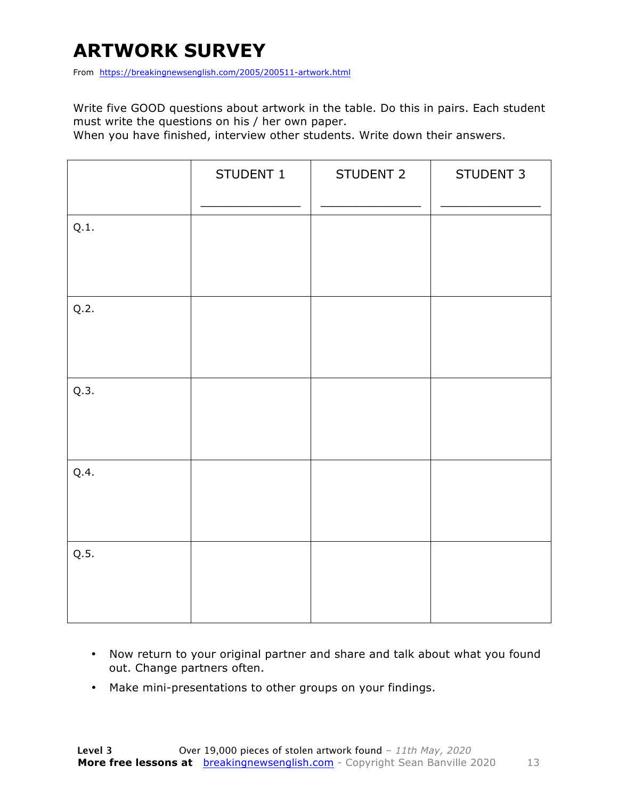### **ARTWORK SURVEY**

From https://breakingnewsenglish.com/2005/200511-artwork.html

Write five GOOD questions about artwork in the table. Do this in pairs. Each student must write the questions on his / her own paper.

When you have finished, interview other students. Write down their answers.

|      | STUDENT 1 | STUDENT 2 | STUDENT 3 |
|------|-----------|-----------|-----------|
| Q.1. |           |           |           |
| Q.2. |           |           |           |
| Q.3. |           |           |           |
| Q.4. |           |           |           |
| Q.5. |           |           |           |

- Now return to your original partner and share and talk about what you found out. Change partners often.
- Make mini-presentations to other groups on your findings.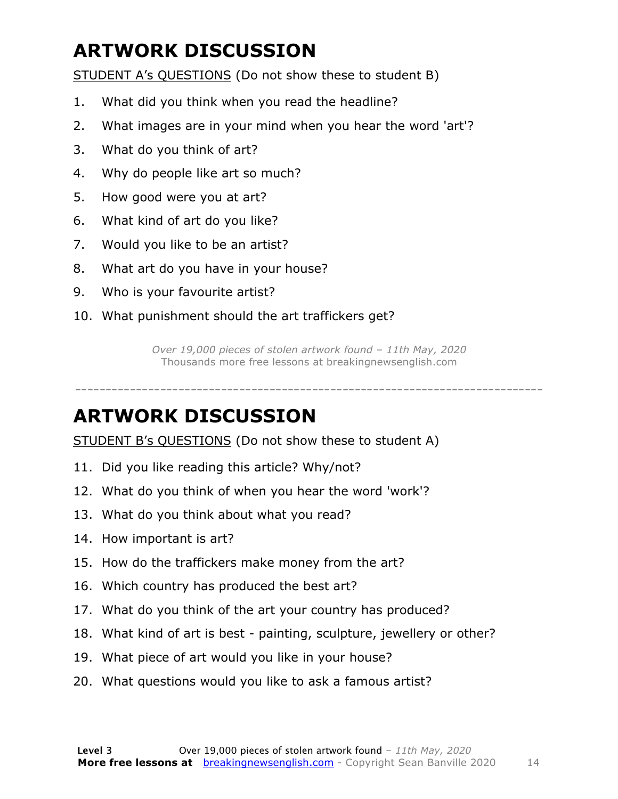### **ARTWORK DISCUSSION**

STUDENT A's QUESTIONS (Do not show these to student B)

- 1. What did you think when you read the headline?
- 2. What images are in your mind when you hear the word 'art'?
- 3. What do you think of art?
- 4. Why do people like art so much?
- 5. How good were you at art?
- 6. What kind of art do you like?
- 7. Would you like to be an artist?
- 8. What art do you have in your house?
- 9. Who is your favourite artist?
- 10. What punishment should the art traffickers get?

*Over 19,000 pieces of stolen artwork found – 11th May, 2020* Thousands more free lessons at breakingnewsenglish.com

-----------------------------------------------------------------------------

#### **ARTWORK DISCUSSION**

STUDENT B's QUESTIONS (Do not show these to student A)

- 11. Did you like reading this article? Why/not?
- 12. What do you think of when you hear the word 'work'?
- 13. What do you think about what you read?
- 14. How important is art?
- 15. How do the traffickers make money from the art?
- 16. Which country has produced the best art?
- 17. What do you think of the art your country has produced?
- 18. What kind of art is best painting, sculpture, jewellery or other?
- 19. What piece of art would you like in your house?
- 20. What questions would you like to ask a famous artist?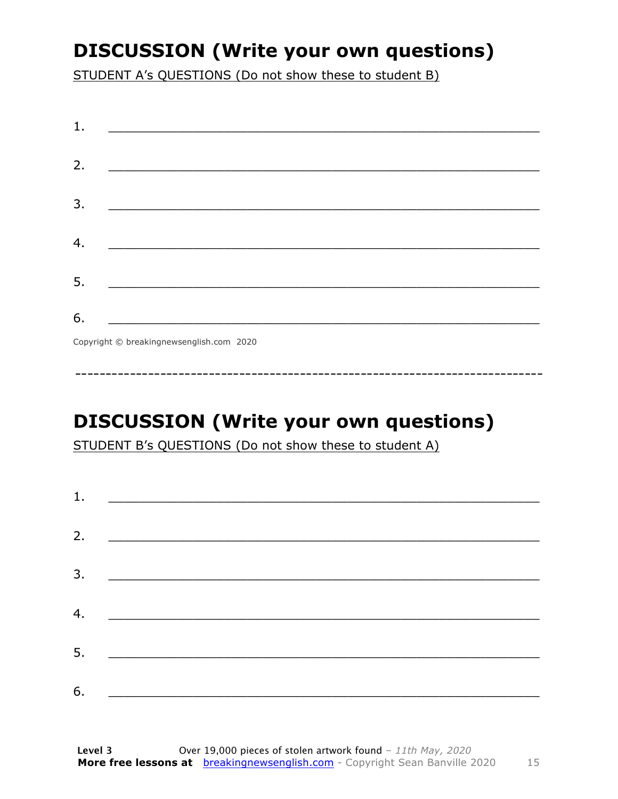### **DISCUSSION (Write your own questions)**

STUDENT A's QUESTIONS (Do not show these to student B)

| 1. |                                          |
|----|------------------------------------------|
|    |                                          |
| 2. |                                          |
|    |                                          |
| 3. |                                          |
|    |                                          |
| 4. |                                          |
|    |                                          |
| 5. |                                          |
|    |                                          |
| 6. |                                          |
|    | Copyright © breakingnewsenglish.com 2020 |

### **DISCUSSION (Write your own questions)**

STUDENT B's QUESTIONS (Do not show these to student A)

| 1. |                                                                                                                       |  |
|----|-----------------------------------------------------------------------------------------------------------------------|--|
| 2. |                                                                                                                       |  |
|    | <u> 1980 - Jan Samuel Barbara, margaret e</u> n 1980 eta 1980 eta 1980 eta 1980 eta 1980 eta 1980 eta 1980 eta 1980 e |  |
| 3. |                                                                                                                       |  |
| 4. | <u> 1980 - Johann Barn, mars ann an t-Amhain an t-Amhain an t-Amhain an t-Amhain an t-Amhain an t-Amhain an t-Amh</u> |  |
|    |                                                                                                                       |  |
| 5. | <u> 1980 - Johann Barbara, martin din bashkar (</u>                                                                   |  |
| 6. | <u> 1989 - Jan Stein Stein, fransk politik (f. 1989)</u>                                                              |  |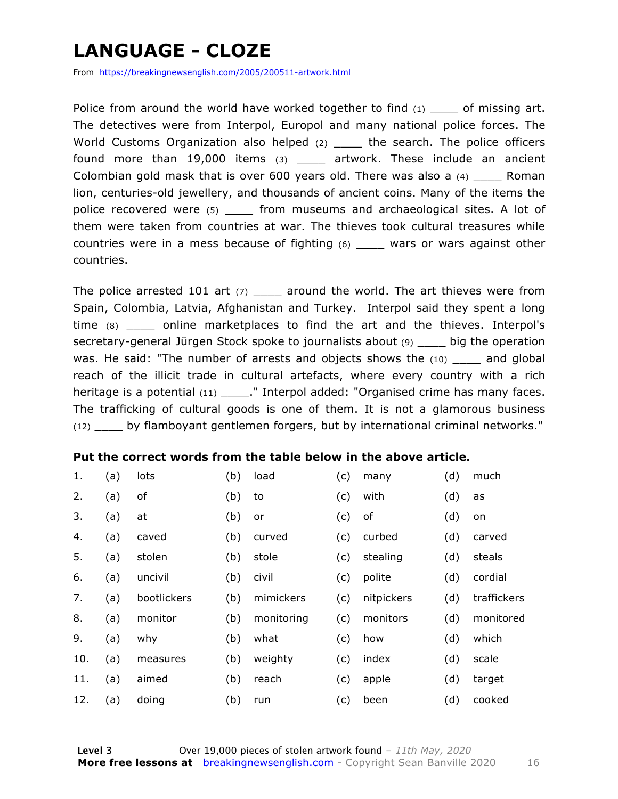### **LANGUAGE - CLOZE**

From https://breakingnewsenglish.com/2005/200511-artwork.html

Police from around the world have worked together to find  $(1)$  of missing art. The detectives were from Interpol, Europol and many national police forces. The World Customs Organization also helped (2) \_\_\_\_ the search. The police officers found more than 19,000 items (3) \_\_\_\_ artwork. These include an ancient Colombian gold mask that is over 600 years old. There was also a (4) \_\_\_\_ Roman lion, centuries-old jewellery, and thousands of ancient coins. Many of the items the police recovered were (5) from museums and archaeological sites. A lot of them were taken from countries at war. The thieves took cultural treasures while countries were in a mess because of fighting (6) \_\_\_\_ wars or wars against other countries.

The police arrested 101 art  $(7)$  \_\_\_\_ around the world. The art thieves were from Spain, Colombia, Latvia, Afghanistan and Turkey. Interpol said they spent a long time (8) \_\_\_\_ online marketplaces to find the art and the thieves. Interpol's secretary-general Jürgen Stock spoke to journalists about (9) \_\_\_\_ big the operation was. He said: "The number of arrests and objects shows the  $(10)$  and global reach of the illicit trade in cultural artefacts, where every country with a rich heritage is a potential (11) \_\_\_\_\_." Interpol added: "Organised crime has many faces. The trafficking of cultural goods is one of them. It is not a glamorous business (12) \_\_\_\_ by flamboyant gentlemen forgers, but by international criminal networks."

#### **Put the correct words from the table below in the above article.**

| 1.  | (a) | lots        | (b) | load       | (c) | many       | (d) | much        |
|-----|-----|-------------|-----|------------|-----|------------|-----|-------------|
| 2.  | (a) | оf          | (b) | to         | (c) | with       | (d) | as          |
| 3.  | (a) | at          | (b) | or         | (c) | of         | (d) | on          |
| 4.  | (a) | caved       | (b) | curved     | (c) | curbed     | (d) | carved      |
| 5.  | (a) | stolen      | (b) | stole      | (c) | stealing   | (d) | steals      |
| 6.  | (a) | uncivil     | (b) | civil      | (c) | polite     | (d) | cordial     |
| 7.  | (a) | bootlickers | (b) | mimickers  | (c) | nitpickers | (d) | traffickers |
| 8.  | (a) | monitor     | (b) | monitoring | (c) | monitors   | (d) | monitored   |
| 9.  | (a) | why         | (b) | what       | (c) | how        | (d) | which       |
| 10. | (a) | measures    | (b) | weighty    | (c) | index      | (d) | scale       |
| 11. | (a) | aimed       | (b) | reach      | (c) | apple      | (d) | target      |
| 12. | (a) | doing       | (b) | run        | (c) | been       | (d) | cooked      |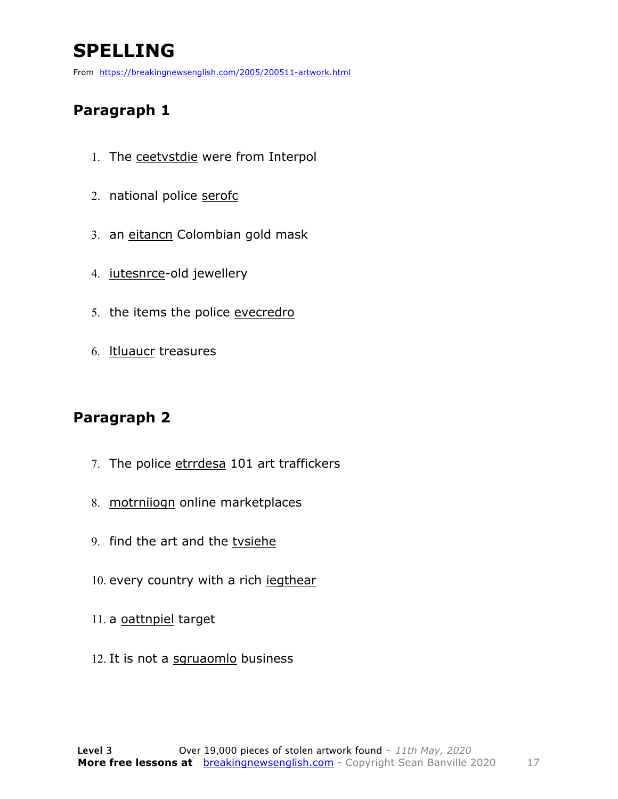### **SPELLING**

From https://breakingnewsenglish.com/2005/200511-artwork.html

#### **Paragraph 1**

- 1. The ceetvstdie were from Interpol
- 2. national police serofc
- 3. an eitancn Colombian gold mask
- 4. iutesnrce-old jewellery
- 5. the items the police evecredro
- 6. ltluaucr treasures

#### **Paragraph 2**

- 7. The police etrrdesa 101 art traffickers
- 8. motrniiogn online marketplaces
- 9. find the art and the tvsiehe
- 10. every country with a rich jegthear
- 11. a oattnpiel target
- 12. It is not a sgruaomlo business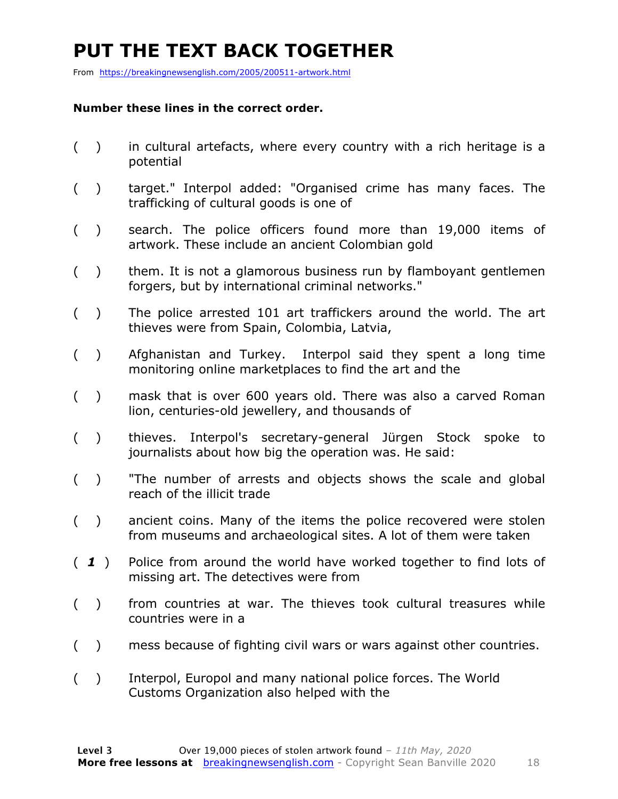### **PUT THE TEXT BACK TOGETHER**

From https://breakingnewsenglish.com/2005/200511-artwork.html

#### **Number these lines in the correct order.**

- ( ) in cultural artefacts, where every country with a rich heritage is a potential
- ( ) target." Interpol added: "Organised crime has many faces. The trafficking of cultural goods is one of
- ( ) search. The police officers found more than 19,000 items of artwork. These include an ancient Colombian gold
- ( ) them. It is not a glamorous business run by flamboyant gentlemen forgers, but by international criminal networks."
- ( ) The police arrested 101 art traffickers around the world. The art thieves were from Spain, Colombia, Latvia,
- ( ) Afghanistan and Turkey. Interpol said they spent a long time monitoring online marketplaces to find the art and the
- ( ) mask that is over 600 years old. There was also a carved Roman lion, centuries-old jewellery, and thousands of
- ( ) thieves. Interpol's secretary-general Jürgen Stock spoke to journalists about how big the operation was. He said:
- ( ) "The number of arrests and objects shows the scale and global reach of the illicit trade
- ( ) ancient coins. Many of the items the police recovered were stolen from museums and archaeological sites. A lot of them were taken
- ( *1* ) Police from around the world have worked together to find lots of missing art. The detectives were from
- ( ) from countries at war. The thieves took cultural treasures while countries were in a
- ( ) mess because of fighting civil wars or wars against other countries.
- ( ) Interpol, Europol and many national police forces. The World Customs Organization also helped with the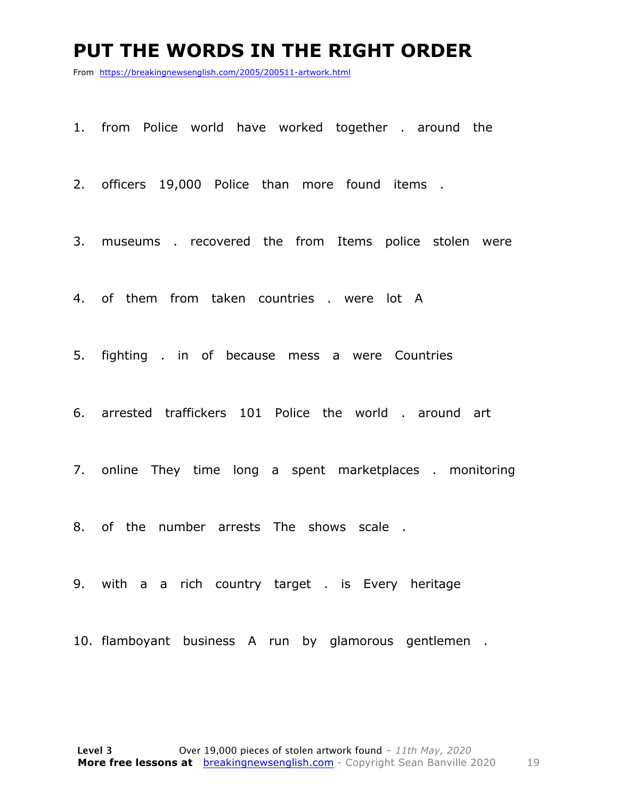#### **PUT THE WORDS IN THE RIGHT ORDER**

From https://breakingnewsenglish.com/2005/200511-artwork.html

1. from Police world have worked together . around the

2. officers 19,000 Police than more found items .

3. museums . recovered the from Items police stolen were

4. of them from taken countries . were lot A

5. fighting . in of because mess a were Countries

6. arrested traffickers 101 Police the world . around art

7. online They time long a spent marketplaces . monitoring

8. of the number arrests The shows scale .

9. with a a rich country target . is Every heritage

10. flamboyant business A run by glamorous gentlemen .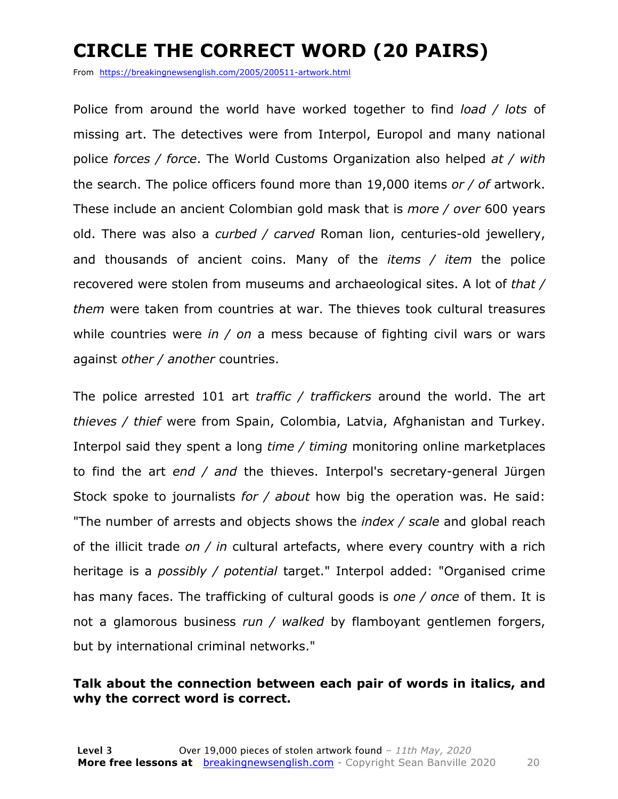### **CIRCLE THE CORRECT WORD (20 PAIRS)**

From https://breakingnewsenglish.com/2005/200511-artwork.html

Police from around the world have worked together to find *load / lots* of missing art. The detectives were from Interpol, Europol and many national police *forces / force*. The World Customs Organization also helped *at / with* the search. The police officers found more than 19,000 items *or / of* artwork. These include an ancient Colombian gold mask that is *more / over* 600 years old. There was also a *curbed / carved* Roman lion, centuries-old jewellery, and thousands of ancient coins. Many of the *items / item* the police recovered were stolen from museums and archaeological sites. A lot of *that / them* were taken from countries at war. The thieves took cultural treasures while countries were *in / on* a mess because of fighting civil wars or wars against *other / another* countries.

The police arrested 101 art *traffic / traffickers* around the world. The art *thieves / thief* were from Spain, Colombia, Latvia, Afghanistan and Turkey. Interpol said they spent a long *time / timing* monitoring online marketplaces to find the art *end / and* the thieves. Interpol's secretary-general Jürgen Stock spoke to journalists *for / about* how big the operation was. He said: "The number of arrests and objects shows the *index / scale* and global reach of the illicit trade *on / in* cultural artefacts, where every country with a rich heritage is a *possibly / potential* target." Interpol added: "Organised crime has many faces. The trafficking of cultural goods is *one / once* of them. It is not a glamorous business *run / walked* by flamboyant gentlemen forgers, but by international criminal networks."

#### **Talk about the connection between each pair of words in italics, and why the correct word is correct.**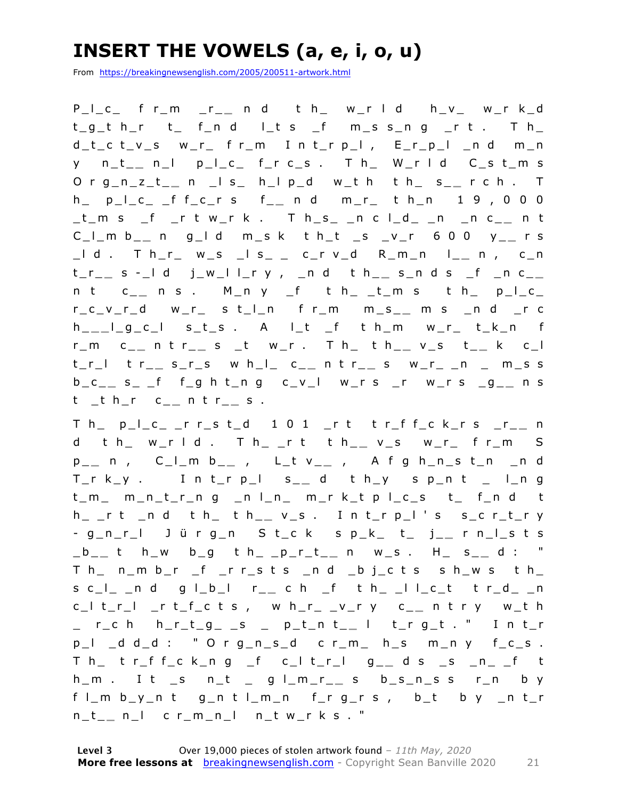### **INSERT THE VOWELS (a, e, i, o, u)**

From https://breakingnewsenglish.com/2005/200511-artwork.html

P\_l\_c\_ f r\_ m \_r\_ **\_** n d t h\_ w\_r l d h\_v\_ w\_r k\_d  $t_g$  t h\_r  $t$  f\_n d l\_t s \_f m\_s s\_n g \_r t . T h\_ d\_t\_c t\_v\_s w\_r\_ f r\_m I n t\_r p\_l , E\_r\_p\_l \_n d m\_n y n\_t\_ **\_** n\_l p\_l\_c\_ f\_r c\_s . T h\_ W\_r l d C\_s t\_m s O r g\_n\_z\_t\_ **\_** n \_l s\_ h\_l p\_d w\_t h t h\_ s\_ **\_** r c h . T h\_ p\_l\_c\_ \_f f\_c\_r s f\_ **\_** n d m\_r\_ t h\_n 1 9 , 0 0 0 \_t\_m s \_f \_r t w\_r k . T h\_s\_ \_n c l\_d\_ \_n \_n c\_ **\_** n t C\_l\_m b\_ **\_** n g\_l d m\_s k t h\_t \_s \_v\_r 6 0 0 y\_ **\_** r s \_l d . T h\_r\_ w\_s \_l s\_ \_ c\_r v\_d R\_m\_n l\_ **\_** n , c\_n t\_r\_ **\_** s - \_l d j\_w\_l l\_r y , \_n d t h\_ **\_** s\_n d s \_f \_n c\_ **\_**  n t c\_ **\_** n s . M\_n y \_f t h\_ \_t\_m s t h\_ p\_l\_c\_ r\_c\_v\_r\_d w\_r\_ s t\_l\_n f r\_m m\_s\_ **\_** m s \_n d \_r c h \_ **\_ \_** l\_g\_c\_l s\_t\_s . A l\_t \_f t h\_m w\_r\_ t\_k\_n f r\_m c\_ **\_** n t r\_ **\_** s \_t w\_r . T h\_ t h\_ **\_** v\_s t\_ **\_** k c\_l t\_r\_l t r\_ **\_** s\_r\_s w h\_l\_ c\_ **\_** n t r\_ **\_** s w\_r\_ \_n \_ m\_s s b\_c\_ **\_** s\_ \_f f\_g h t\_n g c\_v\_l w\_r s \_r w\_r s \_g\_ **\_** n s t \_t h\_r c\_ **\_** n t r\_ **\_** s .

T h\_ p\_l \_c\_ \_r r\_s t\_d 1 0 1 \_r t t r\_f f\_c k\_r s \_r\_ **\_** n d t h\_ w\_r l d . T h\_ \_r t t h\_ **\_** v\_s w\_r\_ f r\_m S p \_ **\_** n , C\_l\_m b\_ **\_** , L\_t v\_ **\_** , A f g h\_n\_s t\_n \_n d T\_r k\_y . I n t\_r p\_l s\_ **\_** d t h\_y s p\_n t \_ l\_n g t\_m\_ m\_n\_t\_r\_n g \_n l\_n\_ m\_r k\_t p l\_c\_s t\_ f\_n d t h\_ \_r t \_n d t h\_ t h\_ **\_** v\_s . I n t\_r p\_l ' s s\_c r\_t\_r y - g\_n\_r\_l J ü r g\_n S t\_c k s p\_k\_ t\_ j\_ **\_** r n\_l\_s t s \_b\_ **\_** t h\_w b\_g t h\_ \_p\_r\_t\_ **\_** n w\_s . H\_ s\_ **\_** d : " T h\_ n\_m b\_r \_f \_r r\_s t s \_n d \_b j\_c t s s h\_w s t h\_ s c\_l\_ \_n d g l\_b\_l r\_ **\_** c h \_f t h\_ \_l l\_c\_t t r\_d\_ \_n c\_l t\_r\_l \_r t\_f\_c t s , w h\_r\_ \_v\_r y c\_ **\_** n t r y w\_t h \_ r\_c h h\_r\_t\_g\_ \_s \_ p\_t\_n t\_ **\_** l t\_r g\_t . " I n t\_r p\_l \_d d\_d : " O r g\_n\_s\_d c r\_m\_ h\_s m\_n y f\_c\_s . T h\_ t r\_f f\_c k\_n g \_f c\_l t\_r\_l g\_ **\_** d s \_s \_n\_ \_f t h\_m . I t \_s n\_t \_ g l\_m\_r\_ **\_** s b\_s\_n\_s s r\_n b y f l\_m b\_y\_n t g\_n t l\_m\_n f\_r g\_r s , b\_t b y \_n t\_r n\_t\_ **\_** n\_l c r\_m \_n\_l n\_t w\_r k s . "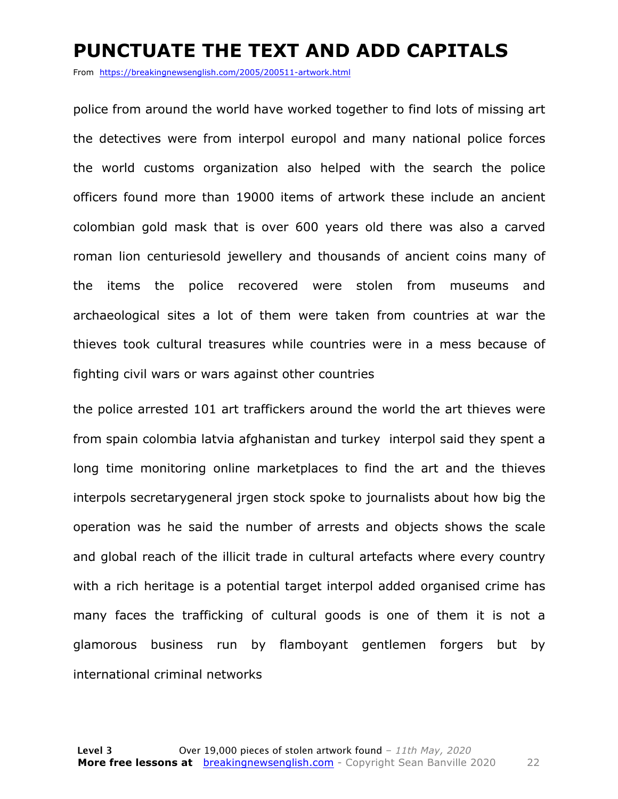#### **PUNCTUATE THE TEXT AND ADD CAPITALS**

From https://breakingnewsenglish.com/2005/200511-artwork.html

police from around the world have worked together to find lots of missing art the detectives were from interpol europol and many national police forces the world customs organization also helped with the search the police officers found more than 19000 items of artwork these include an ancient colombian gold mask that is over 600 years old there was also a carved roman lion centuriesold jewellery and thousands of ancient coins many of the items the police recovered were stolen from museums and archaeological sites a lot of them were taken from countries at war the thieves took cultural treasures while countries were in a mess because of fighting civil wars or wars against other countries

the police arrested 101 art traffickers around the world the art thieves were from spain colombia latvia afghanistan and turkey interpol said they spent a long time monitoring online marketplaces to find the art and the thieves interpols secretarygeneral jrgen stock spoke to journalists about how big the operation was he said the number of arrests and objects shows the scale and global reach of the illicit trade in cultural artefacts where every country with a rich heritage is a potential target interpol added organised crime has many faces the trafficking of cultural goods is one of them it is not a glamorous business run by flamboyant gentlemen forgers but by international criminal networks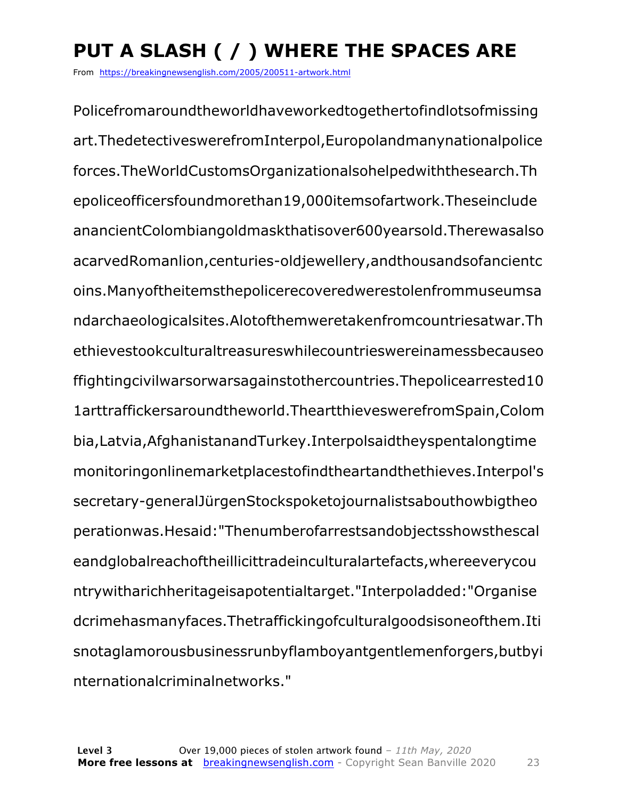### **PUT A SLASH ( / ) WHERE THE SPACES ARE**

From https://breakingnewsenglish.com/2005/200511-artwork.html

Policefromaroundtheworldhaveworkedtogethertofindlotsofmissing art.ThedetectiveswerefromInterpol,Europolandmanynationalpolice forces.TheWorldCustomsOrganizationalsohelpedwiththesearch.Th epoliceofficersfoundmorethan19,000itemsofartwork.Theseinclude anancientColombiangoldmaskthatisover600yearsold.Therewasalso acarvedRomanlion,centuries-oldjewellery,andthousandsofancientc oins.Manyoftheitemsthepolicerecoveredwerestolenfrommuseumsa ndarchaeologicalsites.Alotofthemweretakenfromcountriesatwar.Th ethievestookculturaltreasureswhilecountrieswereinamessbecauseo ffightingcivilwarsorwarsagainstothercountries.Thepolicearrested10 1arttraffickersaroundtheworld.TheartthieveswerefromSpain,Colom bia,Latvia,AfghanistanandTurkey.Interpolsaidtheyspentalongtime monitoringonlinemarketplacestofindtheartandthethieves.Interpol's secretary-generalJürgenStockspoketojournalistsabouthowbigtheo perationwas.Hesaid:"Thenumberofarrestsandobjectsshowsthescal eandglobalreachoftheillicittradeinculturalartefacts,whereeverycou ntrywitharichheritageisapotentialtarget."Interpoladded:"Organise dcrimehasmanyfaces.Thetraffickingofculturalgoodsisoneofthem.Iti snotaglamorousbusinessrunbyflamboyantgentlemenforgers,butbyi nternationalcriminalnetworks."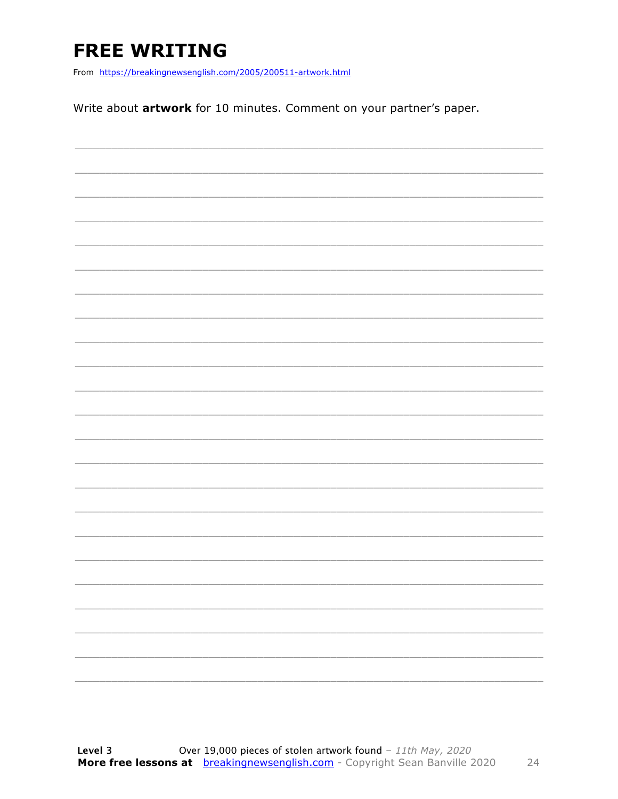### **FREE WRITING**

From https://breakingnewsenglish.com/2005/200511-artwork.html

Write about artwork for 10 minutes. Comment on your partner's paper.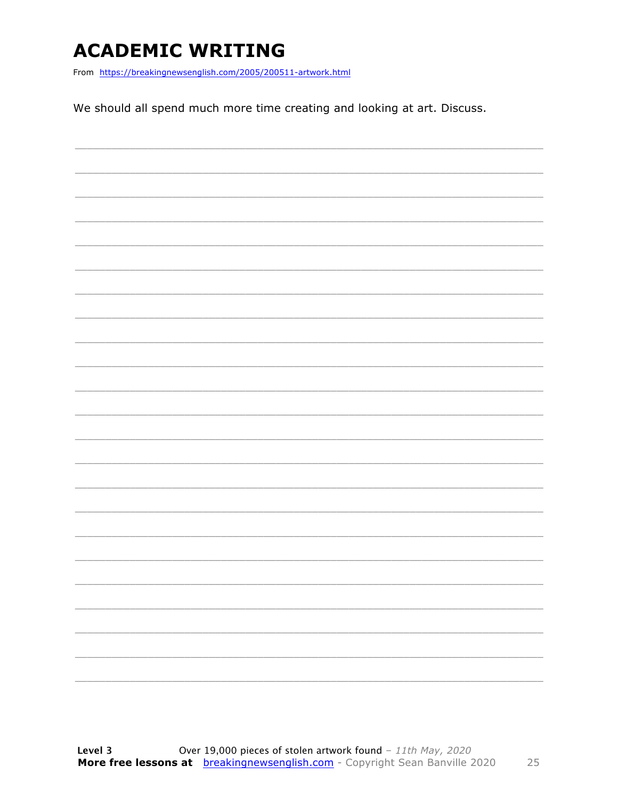### **ACADEMIC WRITING**

From https://breakingnewsenglish.com/2005/200511-artwork.html

We should all spend much more time creating and looking at art. Discuss.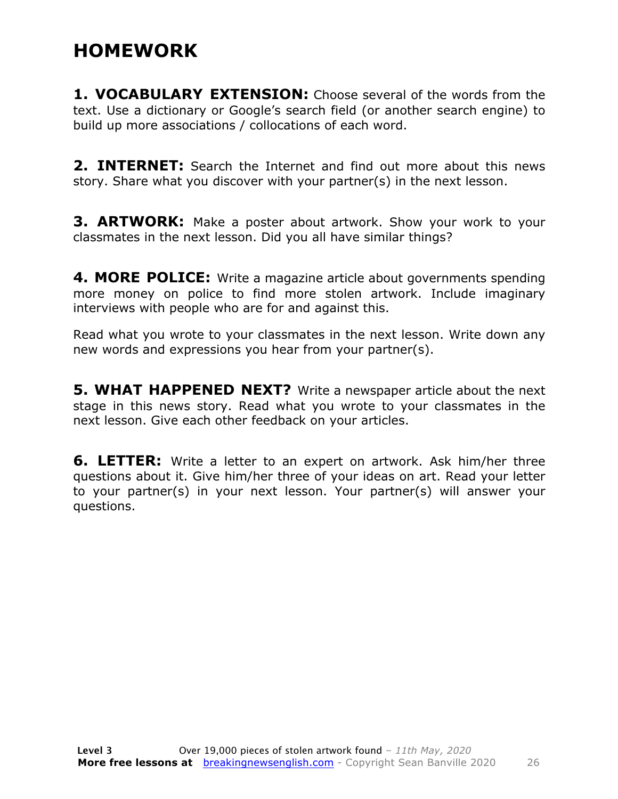#### **HOMEWORK**

**1. VOCABULARY EXTENSION:** Choose several of the words from the text. Use a dictionary or Google's search field (or another search engine) to build up more associations / collocations of each word.

**2. INTERNET:** Search the Internet and find out more about this news story. Share what you discover with your partner(s) in the next lesson.

**3. ARTWORK:** Make a poster about artwork. Show your work to your classmates in the next lesson. Did you all have similar things?

**4. MORE POLICE:** Write a magazine article about governments spending more money on police to find more stolen artwork. Include imaginary interviews with people who are for and against this.

Read what you wrote to your classmates in the next lesson. Write down any new words and expressions you hear from your partner(s).

**5. WHAT HAPPENED NEXT?** Write a newspaper article about the next stage in this news story. Read what you wrote to your classmates in the next lesson. Give each other feedback on your articles.

**6. LETTER:** Write a letter to an expert on artwork. Ask him/her three questions about it. Give him/her three of your ideas on art. Read your letter to your partner(s) in your next lesson. Your partner(s) will answer your questions.